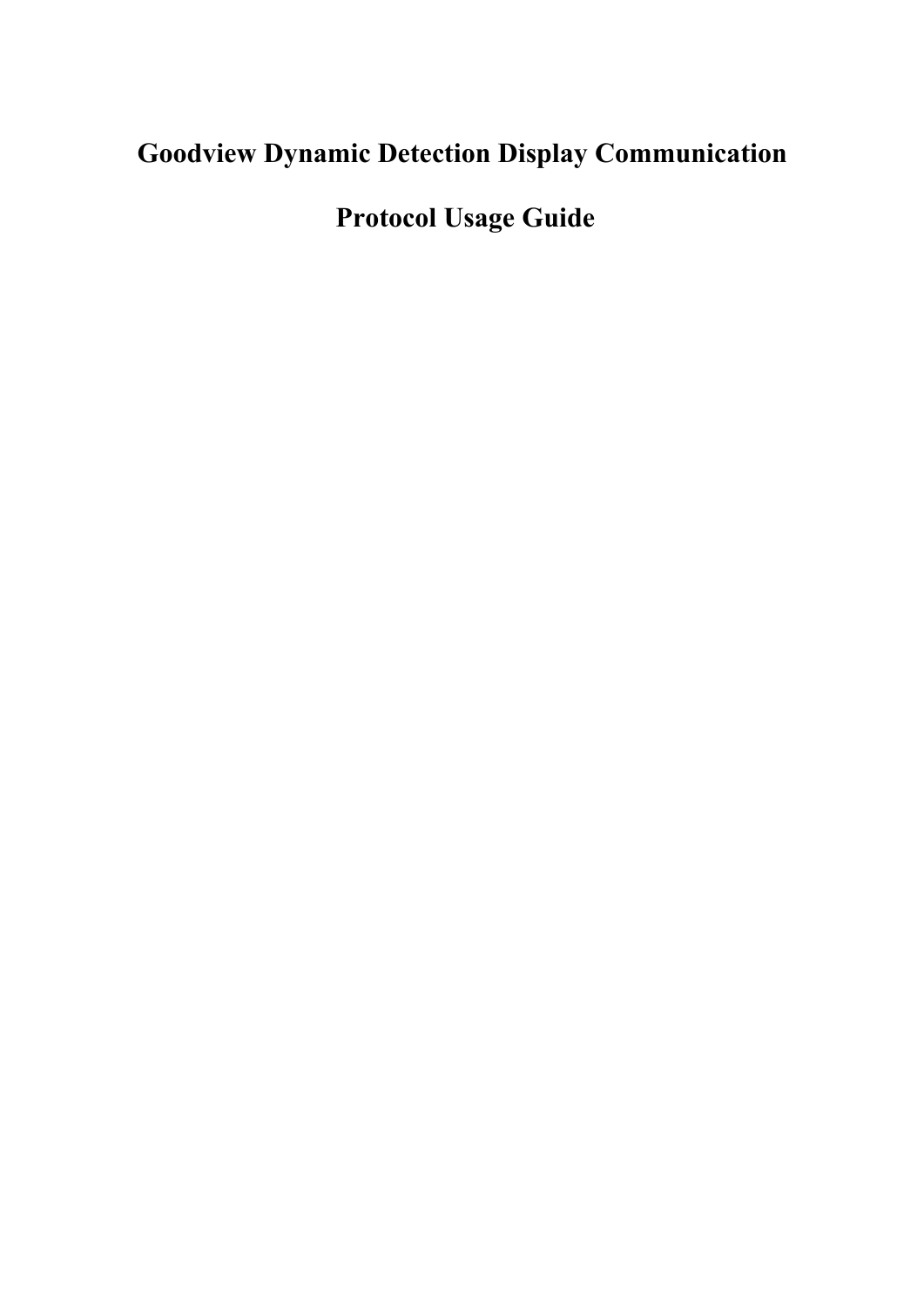# **Goodview Dynamic Detection Display Communication**

**Protocol Usage Guide**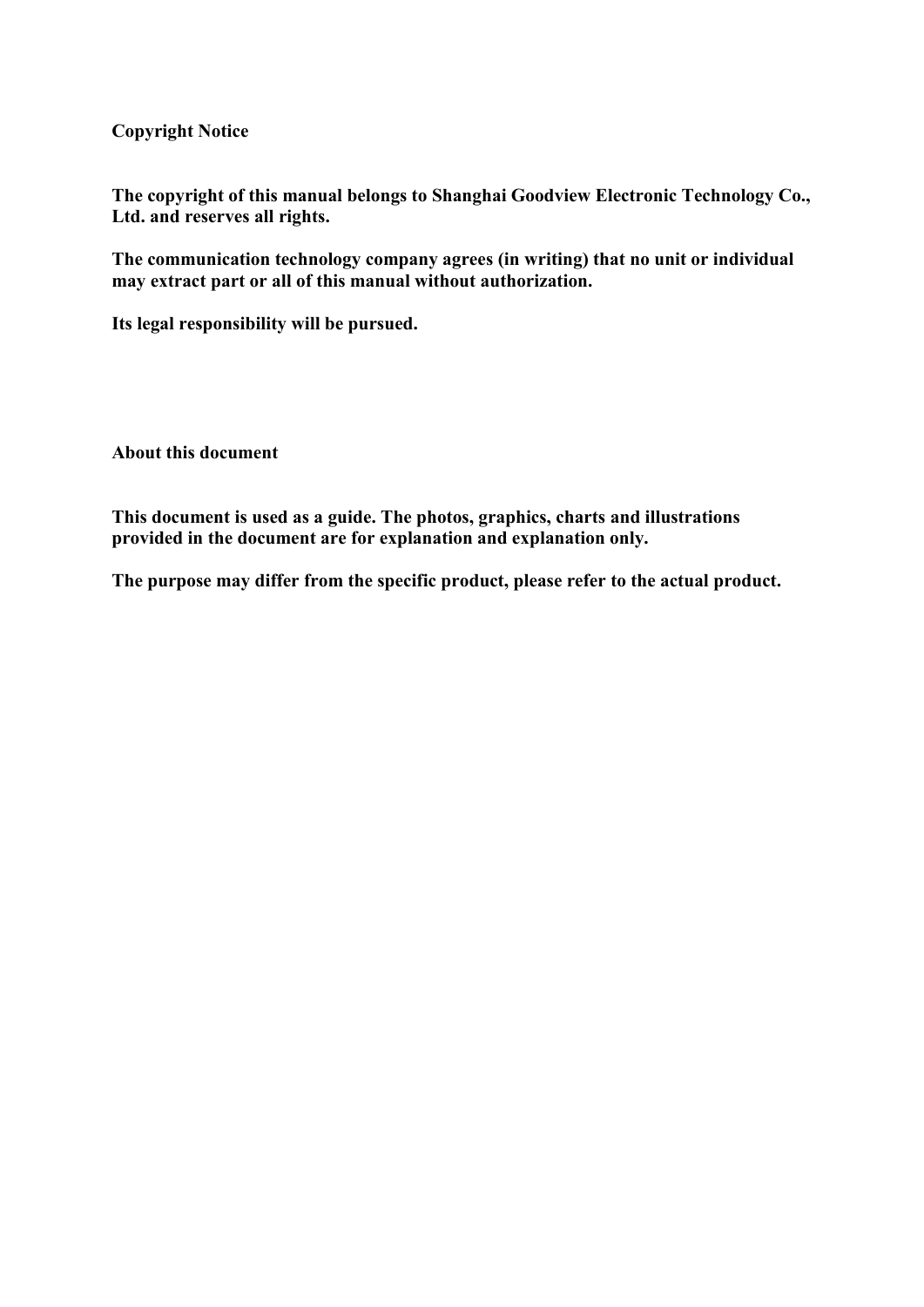**Copyright Notice**

**The copyright of this manual belongs to Shanghai Goodview Electronic Technology Co., Ltd. and reserves all rights.**

**The communication technology company agrees (in writing) that no unit or individual may extract part or all of this manual without authorization.**

**Its legal responsibility will be pursued.**

**About this document**

**This document is used as a guide. The photos, graphics, charts and illustrations provided in the document are for explanation and explanation only.**

**The purpose may differ from the specific product, please refer to the actual product.**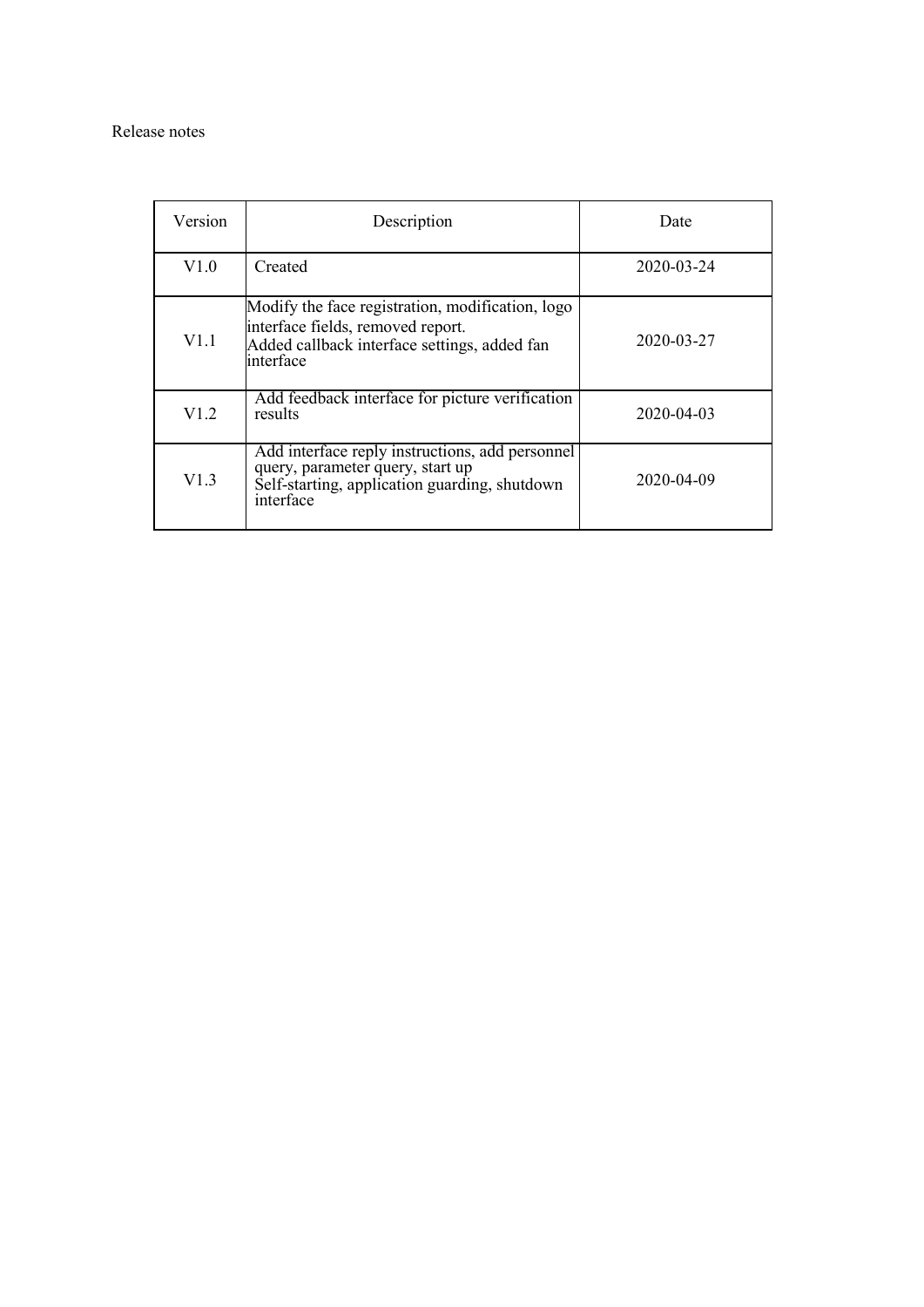### Release notes

| Version | Description                                                                                                                                         | Date       |
|---------|-----------------------------------------------------------------------------------------------------------------------------------------------------|------------|
| V1.0    | Created                                                                                                                                             | 2020-03-24 |
| V1.1    | Modify the face registration, modification, logo<br>interface fields, removed report.<br>Added callback interface settings, added fan<br>linterface | 2020-03-27 |
| V1.2    | Add feedback interface for picture verification<br>results                                                                                          | 2020-04-03 |
| V1.3    | Add interface reply instructions, add personnel<br>query, parameter query, start up<br>Self-starting, application guarding, shutdown<br>interface   | 2020-04-09 |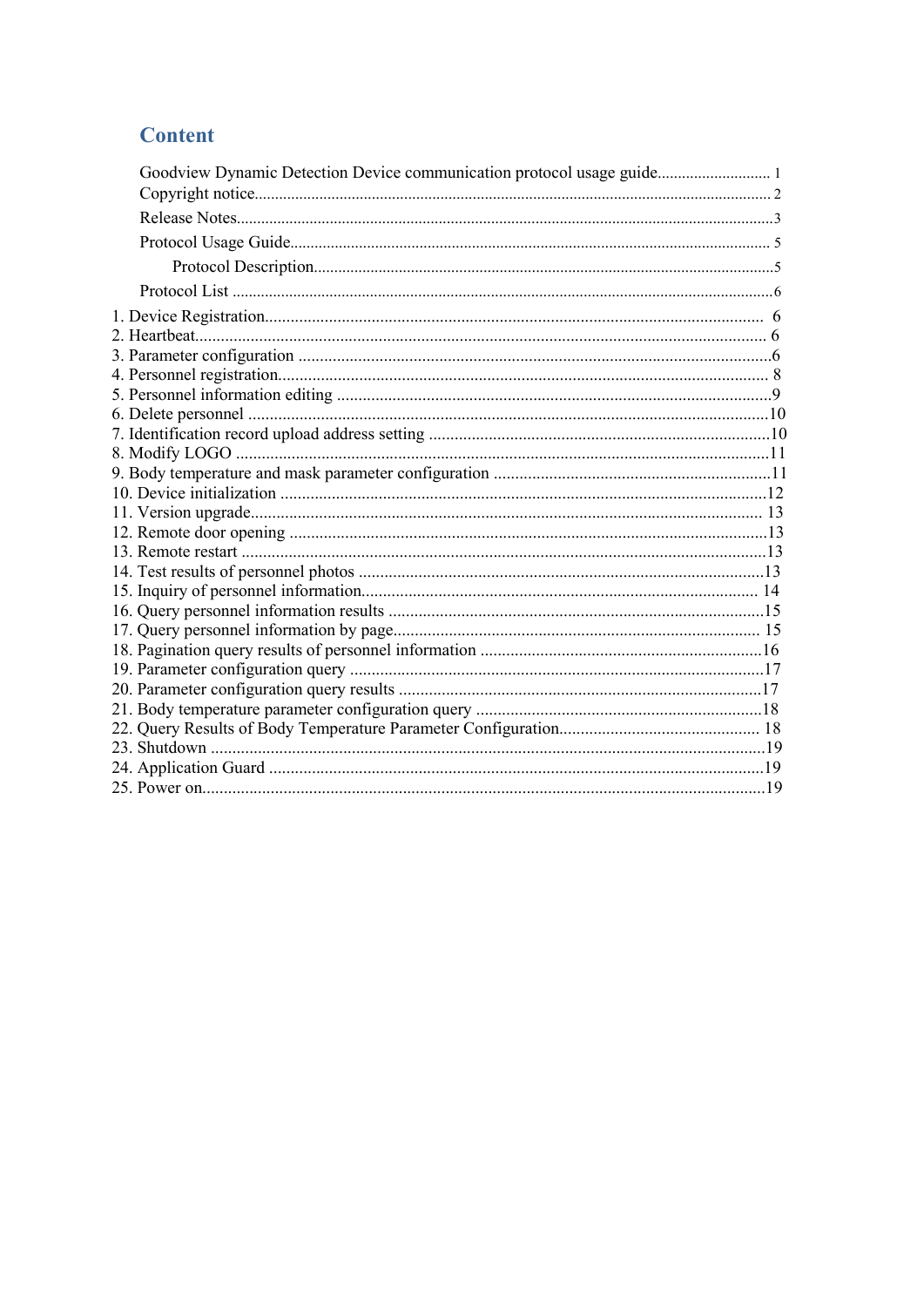# **Content**

| Goodview Dynamic Detection Device communication protocol usage guide 1 |  |
|------------------------------------------------------------------------|--|
|                                                                        |  |
|                                                                        |  |
|                                                                        |  |
|                                                                        |  |
|                                                                        |  |
|                                                                        |  |
|                                                                        |  |
|                                                                        |  |
|                                                                        |  |
|                                                                        |  |
|                                                                        |  |
|                                                                        |  |
|                                                                        |  |
|                                                                        |  |
|                                                                        |  |
|                                                                        |  |
|                                                                        |  |
|                                                                        |  |
|                                                                        |  |
|                                                                        |  |
|                                                                        |  |
|                                                                        |  |
|                                                                        |  |
|                                                                        |  |
|                                                                        |  |
|                                                                        |  |
|                                                                        |  |
|                                                                        |  |
|                                                                        |  |
|                                                                        |  |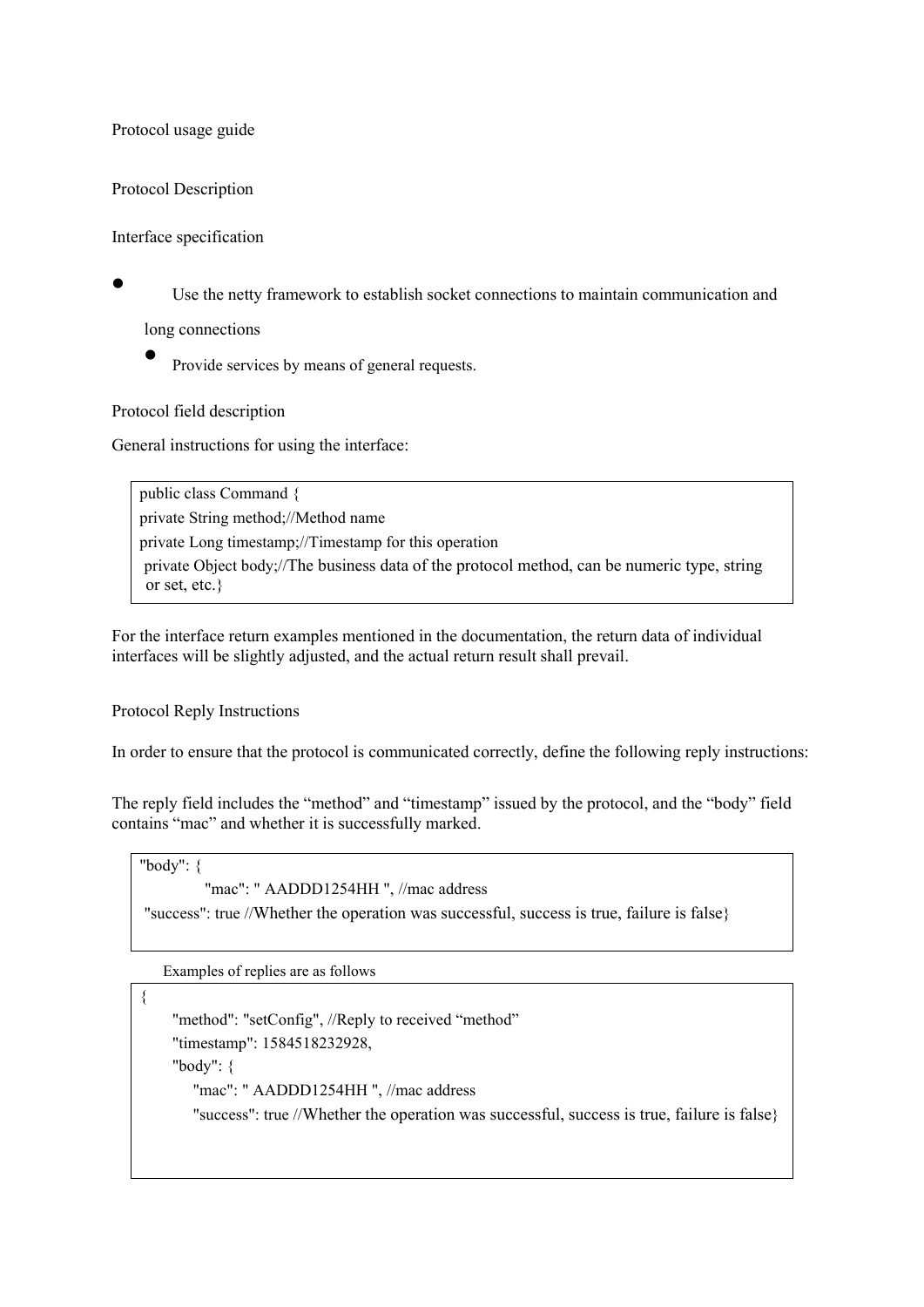Protocol usage guide

Protocol Description

Interface specification

Use the netty framework to establish socket connections to maintain communication and

long connections

• Provide services by means of general requests.

Protocol field description

General instructions for using the interface:

public class Command { private String method;//Method name private Long timestamp;//Timestamp for this operation private Object body;//The business data of the protocol method, can be numeric type, string or set, etc.}

For the interface return examples mentioned in the documentation, the return data of individual interfaces will be slightly adjusted, and the actual return result shall prevail.

Protocol Reply Instructions

In order to ensure that the protocol is communicated correctly, define the following reply instructions:

The reply field includes the "method" and "timestamp" issued by the protocol, and the "body" field contains "mac" and whether it is successfully marked.

"body": {

"mac": " AADDD1254HH ", //mac address "success": true //Whether the operation was successful, success is true, failure is false}

Examples of replies are as follows

 $\{$ 

"method": "setConfig", //Reply to received "method" "timestamp": 1584518232928, "body": { "mac": " AADDD1254HH ", //mac address "success": true //Whether the operation was successful, success is true, failure is false}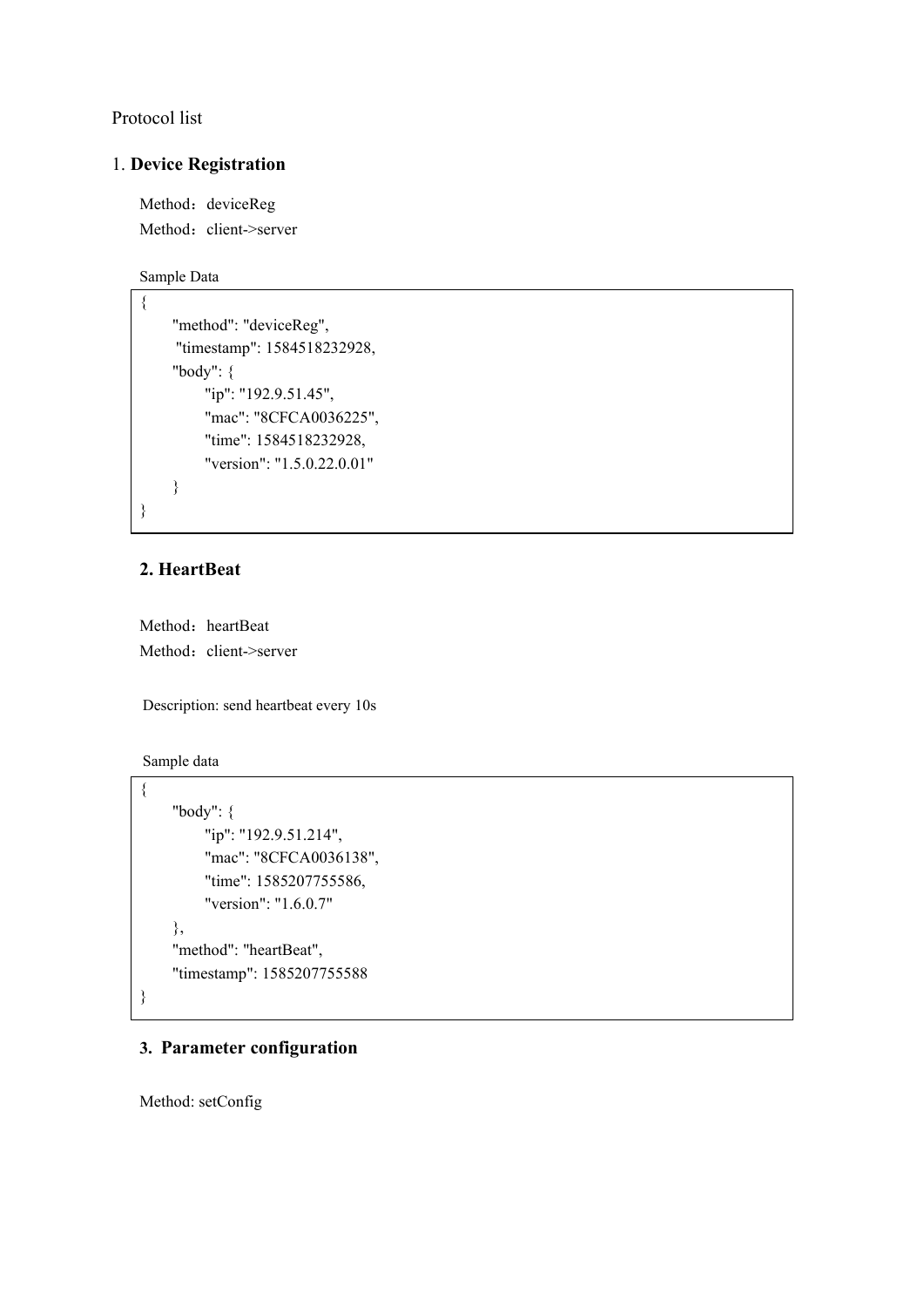Protocol list

### 1. **Device Registration**

Method: deviceReg Method: client->server

Sample Data

```
\{"method": "deviceReg", "timestamp": 1584518232928, "body": {
      "ip": "192.9.51.45", "mac": "8CFCA0036225", "time": 1584518232928, "version": "1.5.0.22.0.01" }
}
```
# **2. HeartBeat**

Method: heartBeat Method: client->server

Description: send heartbeat every 10s

Sample data

```
\{"body": {
       "ip": "192.9.51.214", "mac": "8CFCA0036138", "time": 1585207755586, "version": "1.6.0.7" }, "method": "heartBeat", "timestamp": 1585207755588
}
```
### **3. Parameter configuration**

Method: setConfig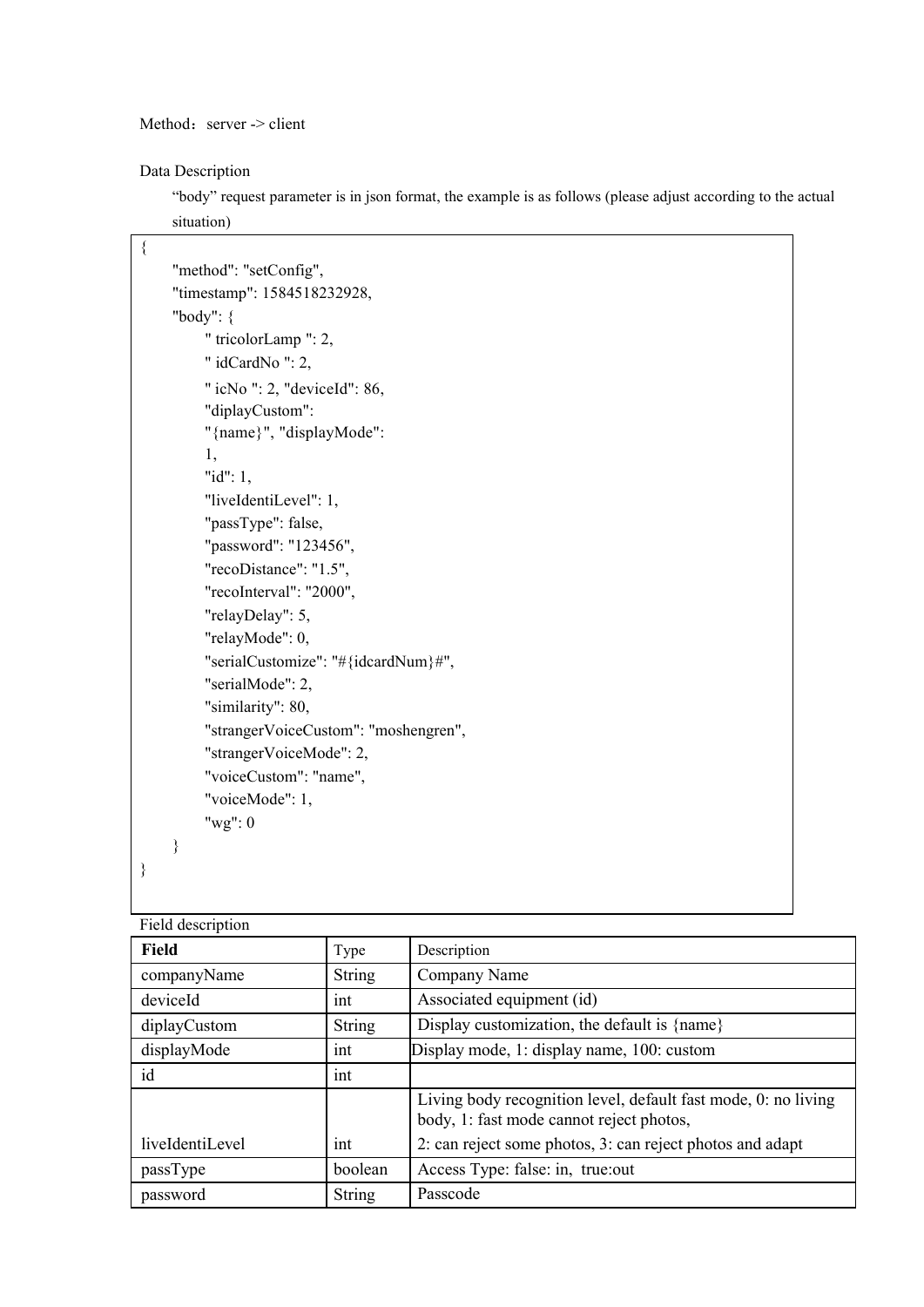Method: server -> client

# Data Description

"body" request parameter is in json format, the example is as follows (please adjust according to the actual situation)

| "method": "setConfig",               |
|--------------------------------------|
| "timestamp": 1584518232928,          |
|                                      |
| "tricolorLamp": 2,                   |
|                                      |
| " icNo ": 2, "deviceId": 86,         |
| "diplayCustom":                      |
| "{name}", "displayMode":             |
|                                      |
|                                      |
| "liveIdentiLevel": 1,                |
| "passType": false,                   |
| "password": "123456",                |
| "recoDistance": "1.5",               |
| "recoInterval": "2000",              |
|                                      |
|                                      |
| "serialCustomize": "#{idcardNum}#",  |
|                                      |
|                                      |
| "strangerVoiceCustom": "moshengren", |
| "strangerVoiceMode": 2,              |
| "voiceCustom": "name",               |
|                                      |
|                                      |
|                                      |
|                                      |
|                                      |

| Field description |  |
|-------------------|--|
|-------------------|--|

| Field           | Type          | Description                                                                                                |
|-----------------|---------------|------------------------------------------------------------------------------------------------------------|
| companyName     | <b>String</b> | Company Name                                                                                               |
| deviceId        | int           | Associated equipment (id)                                                                                  |
| diplayCustom    | String        | Display customization, the default is {name}                                                               |
| displayMode     | int           | Display mode, 1: display name, 100: custom                                                                 |
| id              | int           |                                                                                                            |
|                 |               | Living body recognition level, default fast mode, 0: no living<br>body, 1: fast mode cannot reject photos, |
| liveIdentiLevel | int           | 2: can reject some photos, 3: can reject photos and adapt                                                  |
| passType        | boolean       | Access Type: false: in, true: out                                                                          |
| password        | <b>String</b> | Passcode                                                                                                   |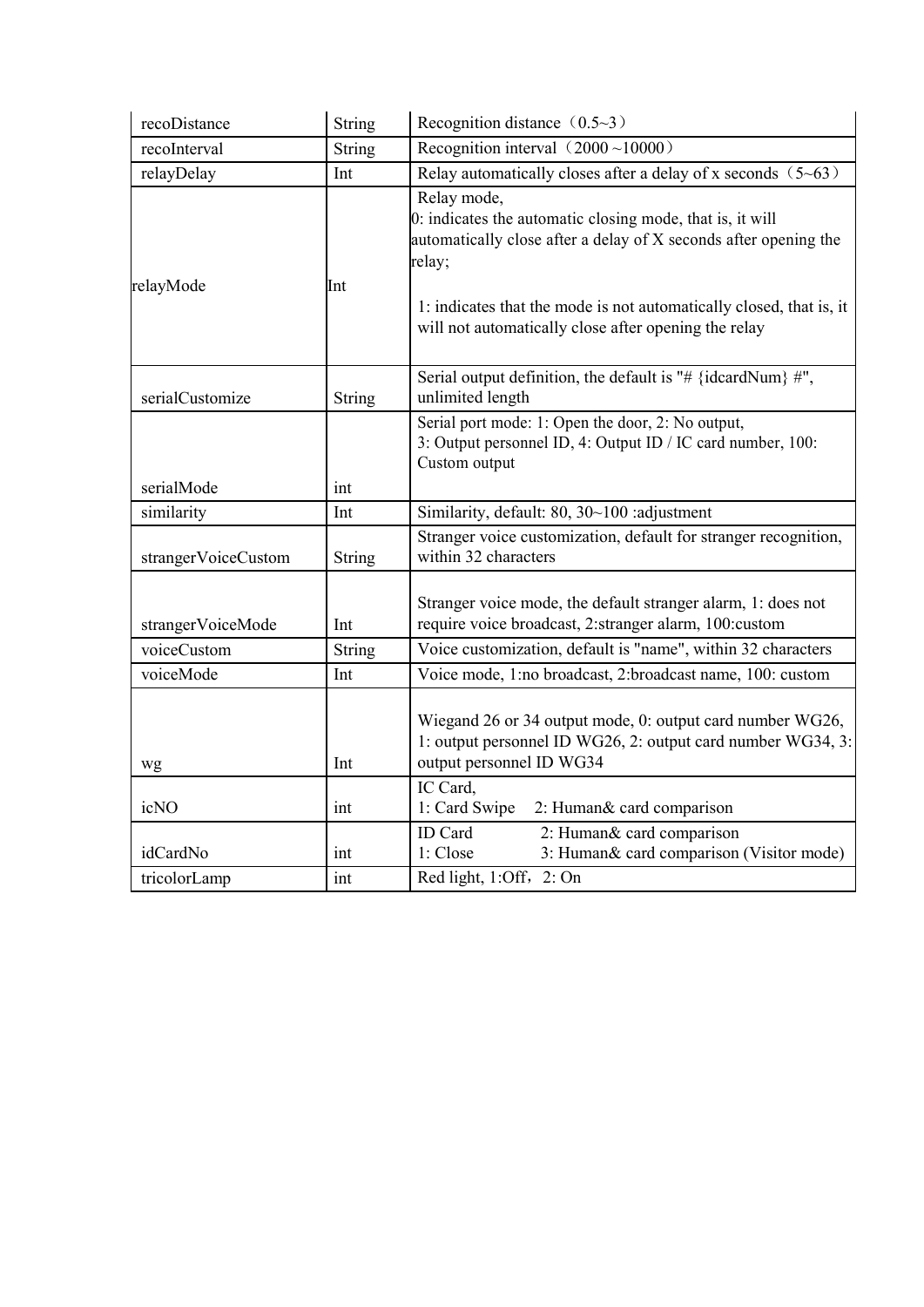| recoDistance                     | String        | Recognition distance $(0.5-3)$                                                                                                                                                        |
|----------------------------------|---------------|---------------------------------------------------------------------------------------------------------------------------------------------------------------------------------------|
| recoInterval                     | <b>String</b> | Recognition interval $(2000 - 10000)$                                                                                                                                                 |
| relayDelay                       | Int           | Relay automatically closes after a delay of x seconds $(5-63)$                                                                                                                        |
| relayMode                        | Int           | Relay mode,<br>0: indicates the automatic closing mode, that is, it will<br>automatically close after a delay of X seconds after opening the<br>relay;                                |
|                                  |               | 1: indicates that the mode is not automatically closed, that is, it<br>will not automatically close after opening the relay                                                           |
| serialCustomize                  | <b>String</b> | Serial output definition, the default is "# {idcardNum} #",<br>unlimited length                                                                                                       |
|                                  |               | Serial port mode: 1: Open the door, 2: No output,<br>3: Output personnel ID, 4: Output ID / IC card number, 100:<br>Custom output                                                     |
| serialMode                       | int           |                                                                                                                                                                                       |
| similarity                       | Int           | Similarity, default: 80, 30~100 :adjustment                                                                                                                                           |
| strangerVoiceCustom              | <b>String</b> | Stranger voice customization, default for stranger recognition,<br>within 32 characters                                                                                               |
| strangerVoiceMode<br>voiceCustom | Int<br>String | Stranger voice mode, the default stranger alarm, 1: does not<br>require voice broadcast, 2:stranger alarm, 100:custom<br>Voice customization, default is "name", within 32 characters |
| voiceMode                        | Int           | Voice mode, 1:no broadcast, 2:broadcast name, 100: custom                                                                                                                             |
|                                  |               | Wiegand 26 or 34 output mode, 0: output card number WG26,<br>1: output personnel ID WG26, 2: output card number WG34, 3:                                                              |
| wg                               | Int           | output personnel ID WG34                                                                                                                                                              |
| icNO                             | int           | IC Card,<br>1: Card Swipe<br>2: Human& card comparison                                                                                                                                |
| idCardNo                         | int           | <b>ID</b> Card<br>2: Human& card comparison<br>3: Human& card comparison (Visitor mode)<br>1: Close                                                                                   |
| tricolorLamp                     | int           | Red light, 1:Off, 2: On                                                                                                                                                               |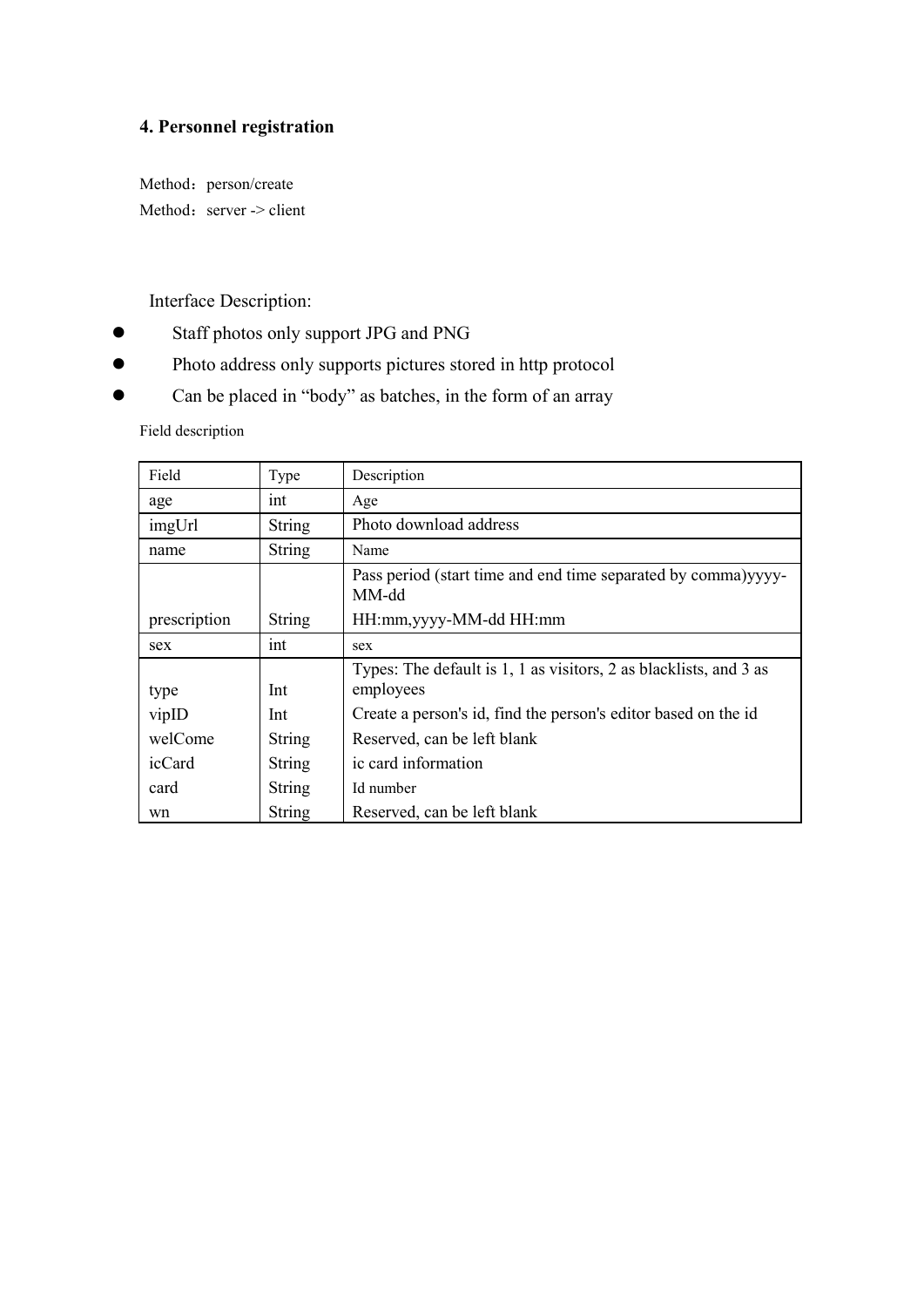# **4. Personnel registration**

Method: person/create Method: server -> client

Interface Description:

- Staff photos only support JPG and PNG
- Photo address only supports pictures stored in http protocol
- Can be placed in "body" as batches, in the form of an array

Field description

| Field        | Type          | Description                                                                    |
|--------------|---------------|--------------------------------------------------------------------------------|
| age          | int           | Age                                                                            |
| imgUrl       | <b>String</b> | Photo download address                                                         |
| name         | <b>String</b> | Name                                                                           |
|              |               | Pass period (start time and end time separated by comma)yyyy-<br>MM-dd         |
| prescription | <b>String</b> | HH:mm, yyyy-MM-dd HH:mm                                                        |
| sex          | int           | sex                                                                            |
| type         | Int           | Types: The default is 1, 1 as visitors, 2 as blacklists, and 3 as<br>employees |
| vipID        | Int           | Create a person's id, find the person's editor based on the id                 |
| welCome      | <b>String</b> | Reserved, can be left blank                                                    |
| icCard       | <b>String</b> | ic card information                                                            |
| card         | <b>String</b> | Id number                                                                      |
| wn           | <b>String</b> | Reserved, can be left blank                                                    |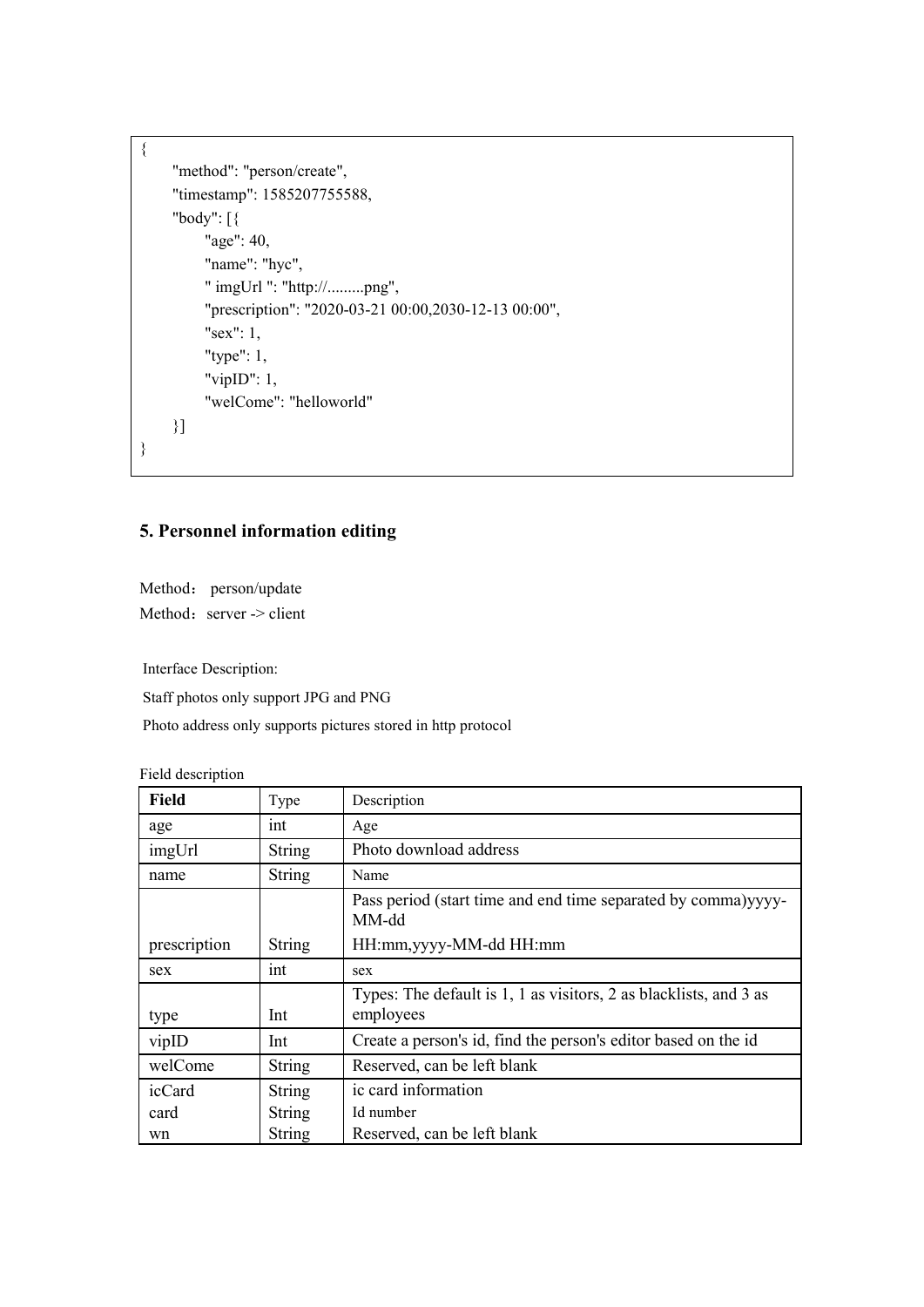```
\{"method": "person/create", "timestamp": 1585207755588, "body": [{
       "age": 40, "name": "hyc", " imgUrl ": "http://.........png", "prescription": "2020-03-21 00:00,2030-12-13 00:00", "sex": 1, "type": 1, "vipID": 1, "welCome": "helloworld" }]
}
```
# **5. Personnel information editing**

Method: person/update Method: server -> client

Interface Description:

Staff photos only support JPG and PNG

Photo address only supports pictures stored in http protocol

Field description

| <b>Field</b> | Type          | Description                                                                    |
|--------------|---------------|--------------------------------------------------------------------------------|
| age          | 1nt           | Age                                                                            |
| imgUrl       | <b>String</b> | Photo download address                                                         |
| name         | <b>String</b> | Name                                                                           |
|              |               | Pass period (start time and end time separated by comma)yyyy-<br>MM-dd         |
| prescription | <b>String</b> | HH:mm, yyyy-MM-dd HH:mm                                                        |
| sex          | int           | sex                                                                            |
| type         | Int           | Types: The default is 1, 1 as visitors, 2 as blacklists, and 3 as<br>employees |
| vipID        | Int           | Create a person's id, find the person's editor based on the id                 |
| welCome      | <b>String</b> | Reserved, can be left blank                                                    |
| icCard       | <b>String</b> | ic card information                                                            |
| card         | <b>String</b> | Id number                                                                      |
| wn           | <b>String</b> | Reserved, can be left blank                                                    |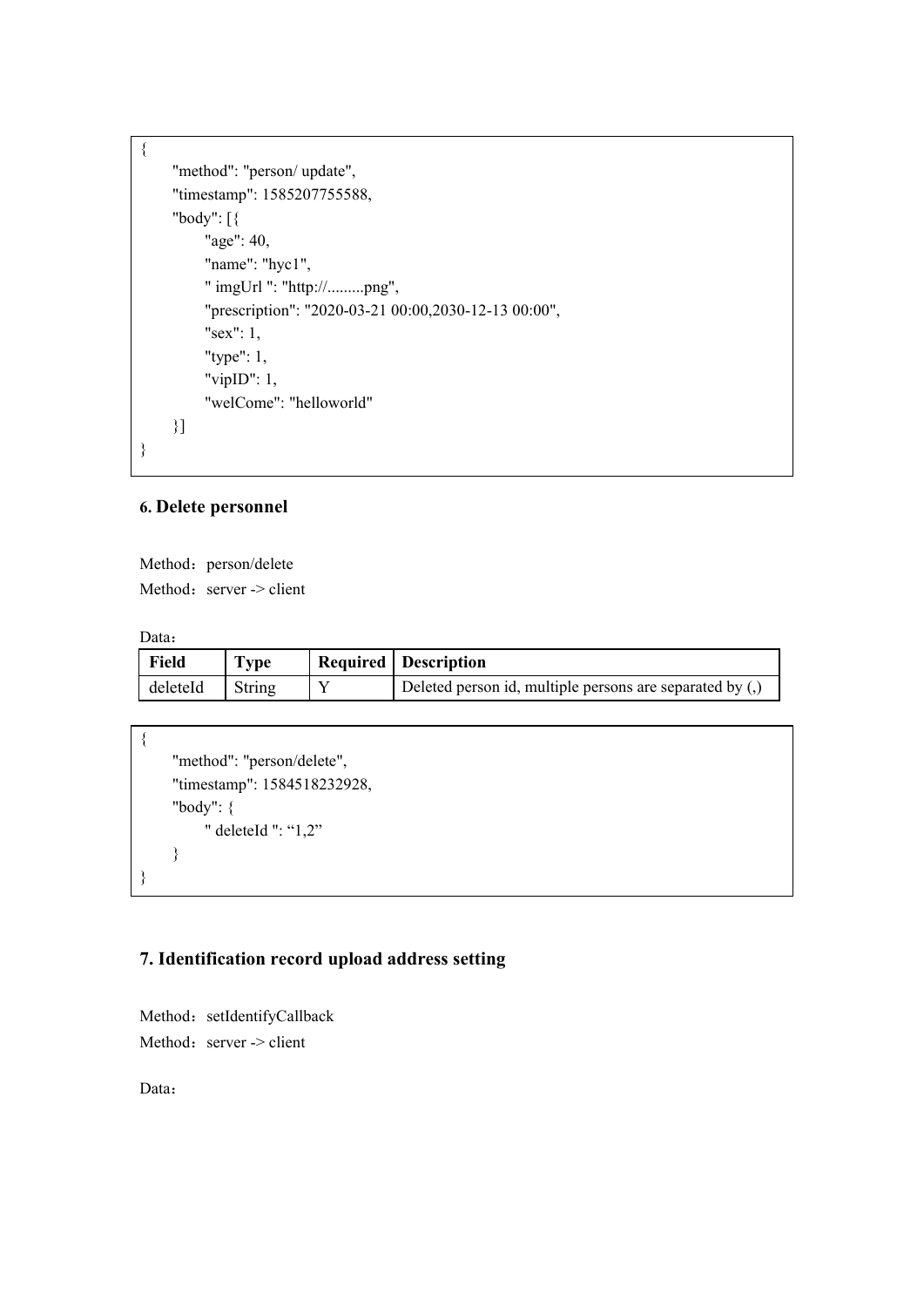```
\{"method": "person/ update", "timestamp": 1585207755588, "body": [{
        "age": 40, "name": "hyc1", " imgUrl ": "http://.........png", "prescription": "2020-03-21 00:00,2030-12-13 00:00", "sex": 1, "type": 1, "vipID": 1, "welCome": "helloworld" }]
}
```
### **6. Delete personnel**

Method: person/delete Method: server  $\rightarrow$  client

| Data:    |        |                                                          |
|----------|--------|----------------------------------------------------------|
| Field    | Type   | Required   Description                                   |
| deleteId | String | Deleted person id, multiple persons are separated by (,) |

```
\{"method": "person/delete", "timestamp": 1584518232928, "body": {
     " deleteId ": "1,2" }
}
```
### **7. Identification record upload address setting**

Method: setIdentifyCallback Method: server -> client

Data: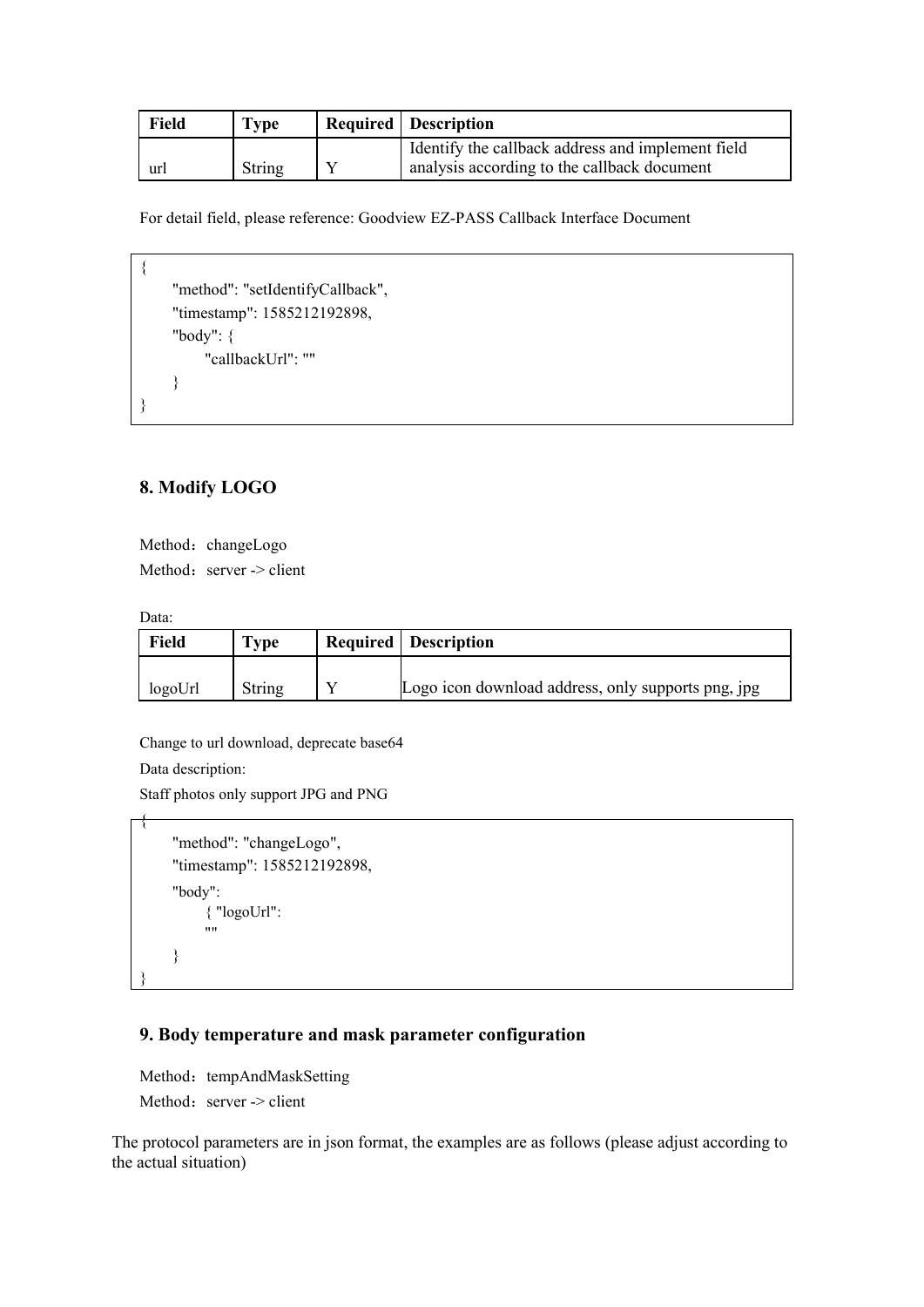| <b>Field</b> | <b>Type</b> | <b>Required   Description</b>                     |
|--------------|-------------|---------------------------------------------------|
|              |             | Identify the callback address and implement field |
| url          | String      | analysis according to the callback document       |

For detail field, please reference: Goodview EZ-PASS Callback Interface Document

```
\{"method": "setIdentifyCallback", "timestamp": 1585212192898, "body": {
      "callbackUrl": "" }
```
### **8. Modify LOGO**

}

Method: changeLogo Method: server -> client

Data:

| <b>Field</b> | <b>Type</b> | <b>Required   Description</b>                      |
|--------------|-------------|----------------------------------------------------|
| logoUrl      | String      | Logo icon download address, only supports png, jpg |

Change to url download, deprecate base64

Data description:

 $\{$   $\}$ 

Staff photos only support JPG and PNG

```
"method": "changeLogo", "timestamp": 1585212192898, "body":
     {^{\{}} "logoUrl":
     "" }
}
```
### **9. Body temperature and mask parameter configuration**

```
Method: tempAndMaskSetting
Method: server -> client
```
The protocol parameters are in json format, the examples are as follows (please adjust according to the actual situation)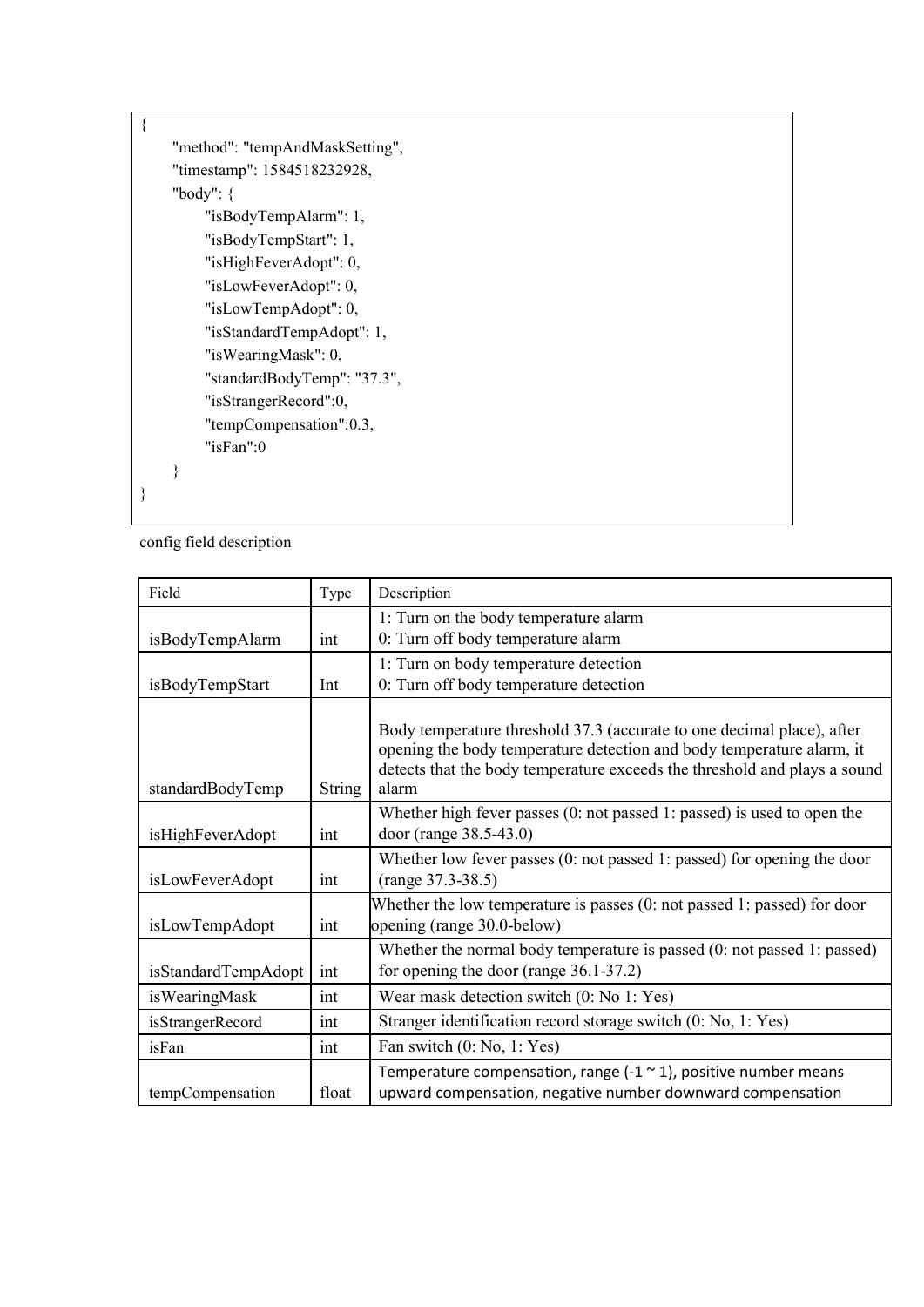| { |   |                                 |
|---|---|---------------------------------|
|   |   | "method": "tempAndMaskSetting", |
|   |   | "timestamp": 1584518232928,     |
|   |   | "body": $\{$                    |
|   |   | "isBodyTempAlarm": 1,           |
|   |   | "isBodyTempStart": 1,           |
|   |   | "isHighFeverAdopt": 0,          |
|   |   | "isLowFeverAdopt": 0,           |
|   |   | "isLowTempAdopt": 0,            |
|   |   | "isStandardTempAdopt": 1,       |
|   |   | "isWearingMask": 0,             |
|   |   | "standardBodyTemp": "37.3",     |
|   |   | "isStrangerRecord":0,           |
|   |   | "tempCompensation":0.3,         |
|   |   | "isFan":0                       |
|   | ∤ |                                 |
| ∤ |   |                                 |
|   |   |                                 |

config field description

| Field               | Type          | Description                                                                                                                                                                                                                           |  |  |  |
|---------------------|---------------|---------------------------------------------------------------------------------------------------------------------------------------------------------------------------------------------------------------------------------------|--|--|--|
|                     |               | 1: Turn on the body temperature alarm                                                                                                                                                                                                 |  |  |  |
| isBodyTempAlarm     | int           | 0: Turn off body temperature alarm                                                                                                                                                                                                    |  |  |  |
|                     |               | 1: Turn on body temperature detection                                                                                                                                                                                                 |  |  |  |
| isBodyTempStart     | Int           | 0: Turn off body temperature detection                                                                                                                                                                                                |  |  |  |
| standardBodyTemp    | <b>String</b> | Body temperature threshold 37.3 (accurate to one decimal place), after<br>opening the body temperature detection and body temperature alarm, it<br>detects that the body temperature exceeds the threshold and plays a sound<br>alarm |  |  |  |
|                     |               | Whether high fever passes $(0: \text{not passed 1: passed})$ is used to open the                                                                                                                                                      |  |  |  |
| isHighFeverAdopt    | int           | door (range 38.5-43.0)                                                                                                                                                                                                                |  |  |  |
| isLowFeverAdopt     | int           | Whether low fever passes (0: not passed 1: passed) for opening the door<br>$(range 37.3-38.5)$                                                                                                                                        |  |  |  |
| isLowTempAdopt      | int           | Whether the low temperature is passes $(0: \text{not passed 1: passed})$ for door<br>opening (range $30.0$ -below)                                                                                                                    |  |  |  |
| isStandardTempAdopt | int           | Whether the normal body temperature is passed $(0: \text{not passed 1: passed})$<br>for opening the door (range 36.1-37.2)                                                                                                            |  |  |  |
| isWearingMask       | int           | Wear mask detection switch (0: No 1: Yes)                                                                                                                                                                                             |  |  |  |
| isStrangerRecord    | int           | Stranger identification record storage switch (0: No, 1: Yes)                                                                                                                                                                         |  |  |  |
| isFan               | int           | Fan switch (0: No, 1: Yes)                                                                                                                                                                                                            |  |  |  |
| tempCompensation    | float         | Temperature compensation, range $(-1 \sim 1)$ , positive number means<br>upward compensation, negative number downward compensation                                                                                                   |  |  |  |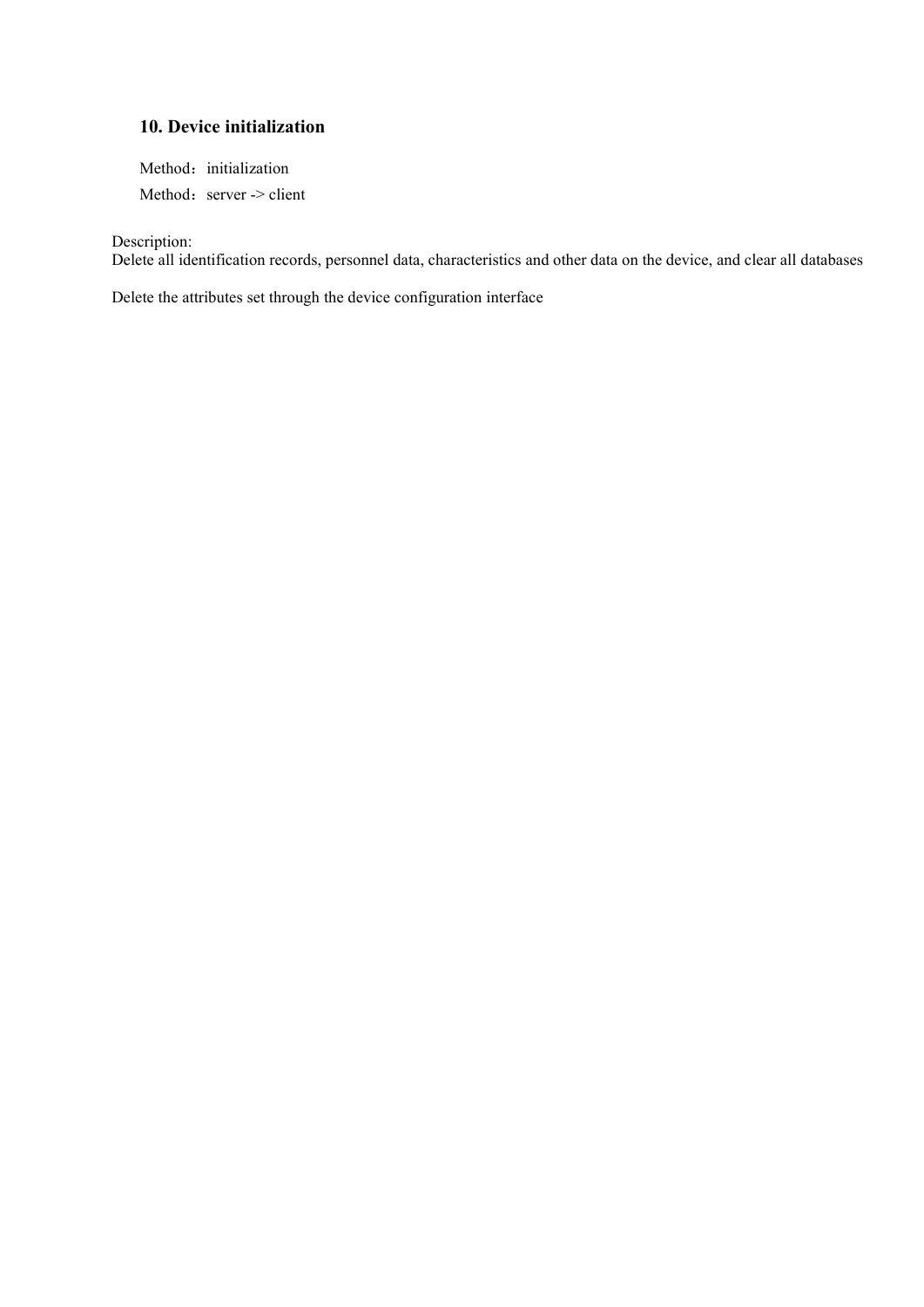### **10. Device initialization**

Method: initialization Method: server -> client

Description:

Delete all identification records, personnel data, characteristics and other data on the device, and clear all databases

Delete the attributes set through the device configuration interface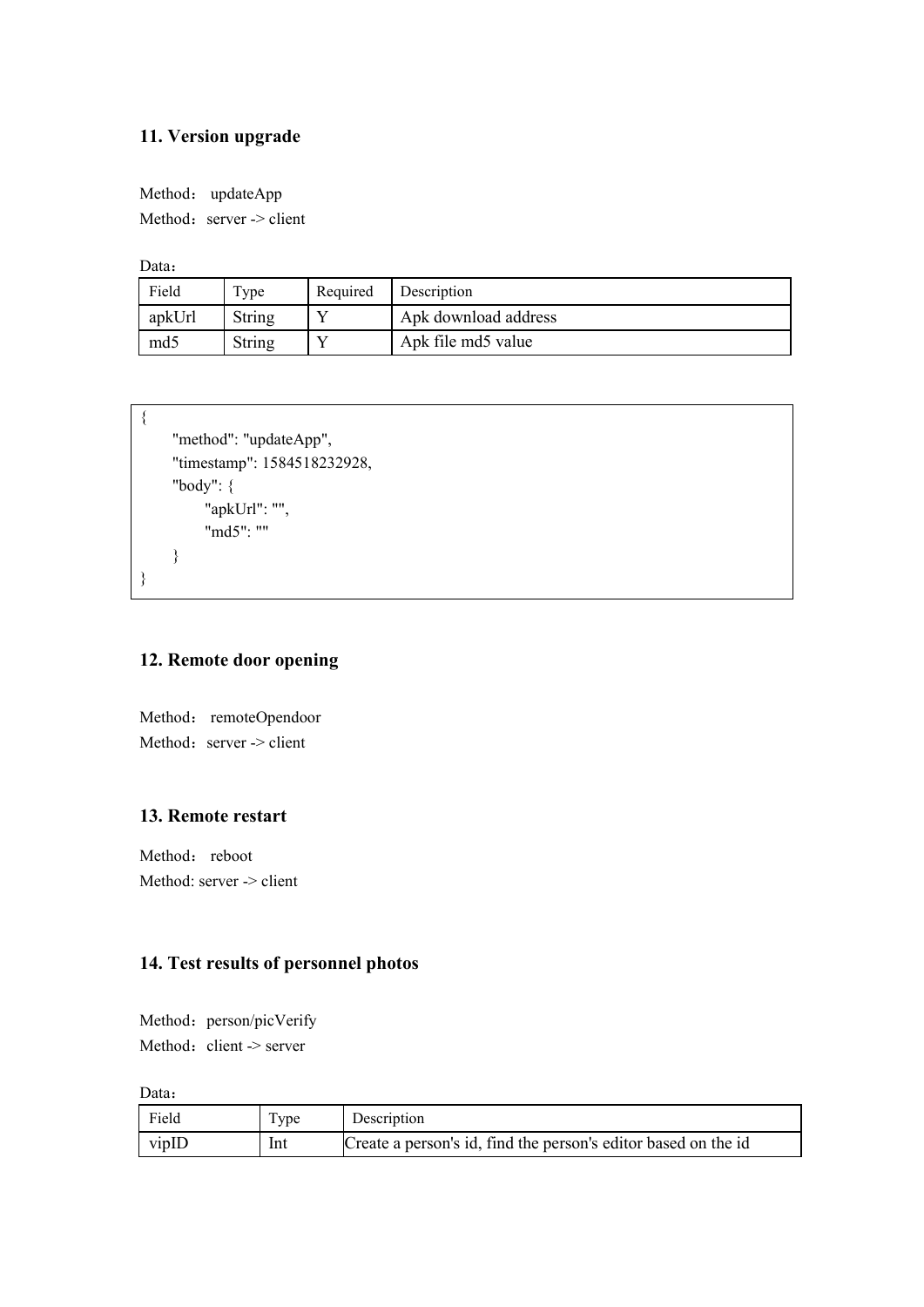### **11. Version upgrade**

Method: updateApp Method: server -> client

Data: and the set of the set of the set of the set of the set of the set of the set of the set of the set of the set of the set of the set of the set of the set of the set of the set of the set of the set of the set of the

| Field  | Type   | Required | Description          |
|--------|--------|----------|----------------------|
| apkUrl | String |          | Apk download address |
| md5    | String |          | Apk file md5 value   |

```
\{"method": "updateApp", "timestamp": 1584518232928, "body": {
     "apkUrl": "", "md5": "" }
}
```
# **12. Remote door opening**

Method: remoteOpendoor Method: server  $\rightarrow$  client

### **13. Remote restart**

Method: reboot Method: server -> client

# 14. Test results of personnel photos

Method: person/picVerify Method: client -> server

Data: and the set of the set of the set of the set of the set of the set of the set of the set of the set of the set of the set of the set of the set of the set of the set of the set of the set of the set of the set of the

| Field | Ē<br>' ype | Description                                                    |
|-------|------------|----------------------------------------------------------------|
| vipII | Int        | Create a person's id, find the person's editor based on the id |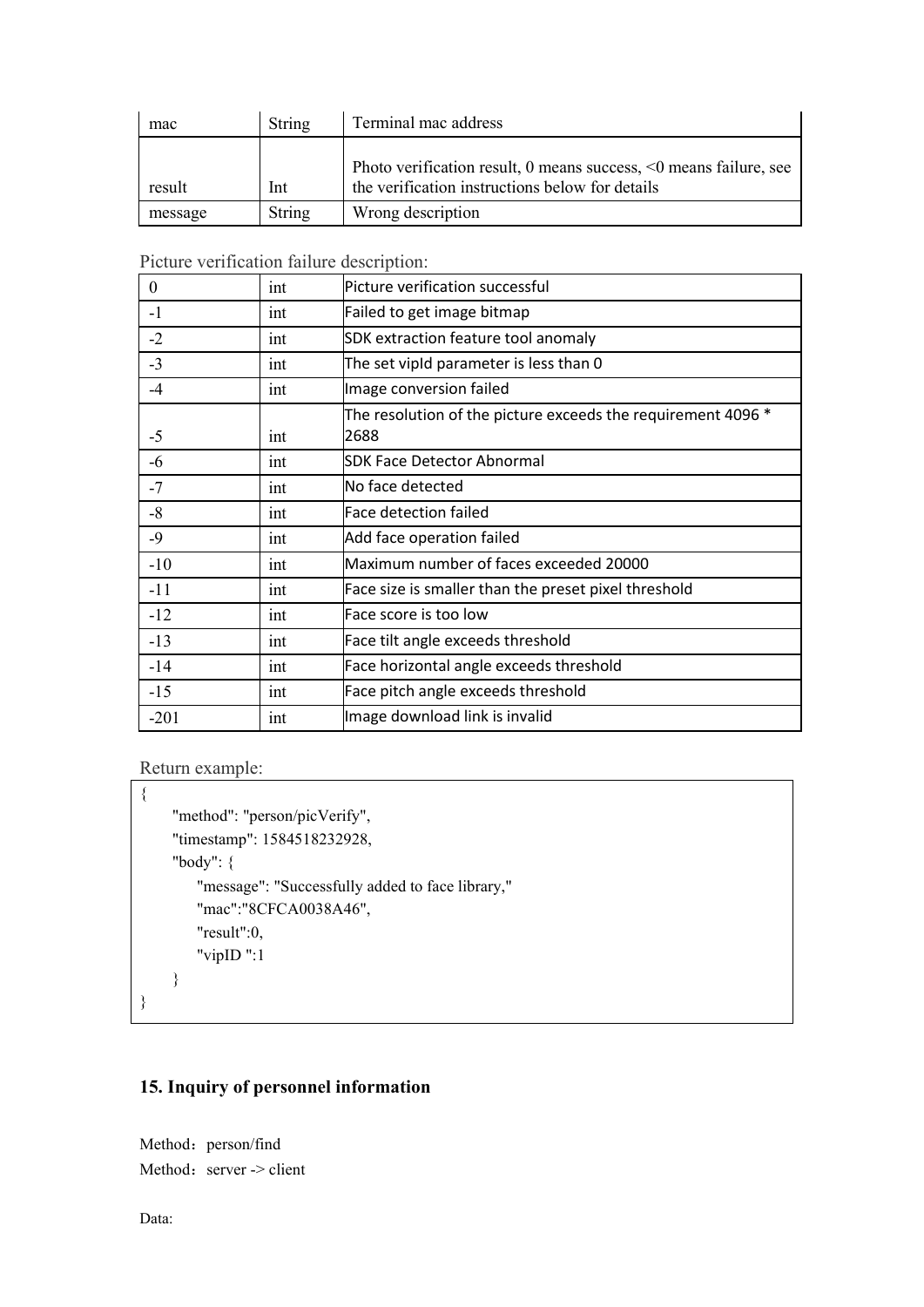| mac     | String | Terminal mac address                                                                                                       |
|---------|--------|----------------------------------------------------------------------------------------------------------------------------|
| result  | Int    | Photo verification result, 0 means success, $\leq 0$ means failure, see<br>the verification instructions below for details |
| message | String | Wrong description                                                                                                          |

Picture verification failure description:

| Picture verification successful<br>int<br>Failed to get image bitmap<br>int<br>SDK extraction feature tool anomaly<br>1nt<br>The set vipId parameter is less than 0<br>int |
|----------------------------------------------------------------------------------------------------------------------------------------------------------------------------|
|                                                                                                                                                                            |
|                                                                                                                                                                            |
|                                                                                                                                                                            |
|                                                                                                                                                                            |
| Image conversion failed<br>int                                                                                                                                             |
| The resolution of the picture exceeds the requirement 4096 *<br>2688<br>int                                                                                                |
| <b>SDK Face Detector Abnormal</b><br>1nt                                                                                                                                   |
| No face detected<br>int                                                                                                                                                    |
| <b>Face detection failed</b><br>int                                                                                                                                        |
| Add face operation failed<br>int                                                                                                                                           |
| Maximum number of faces exceeded 20000<br>$-10$<br>int                                                                                                                     |
| Face size is smaller than the preset pixel threshold<br>$-11$<br>int                                                                                                       |
| $-12$<br>Face score is too low<br>int                                                                                                                                      |
| $-13$<br>Face tilt angle exceeds threshold<br>int                                                                                                                          |
| Face horizontal angle exceeds threshold<br>$-14$<br>int                                                                                                                    |
| Face pitch angle exceeds threshold<br>$-15$<br>int                                                                                                                         |
| Image download link is invalid<br>$-201$<br>int                                                                                                                            |

Return example:

```
\{"method": "person/picVerify", "timestamp": 1584518232928, "body": {
     "message": "Successfully added to face library,"
     "mac":"8CFCA0038A46", "result":0, "vipID ":1
   }
}
```
# **15. Inquiry of personnel information**

Method: person/find Method: server  $\ge$  client

Data: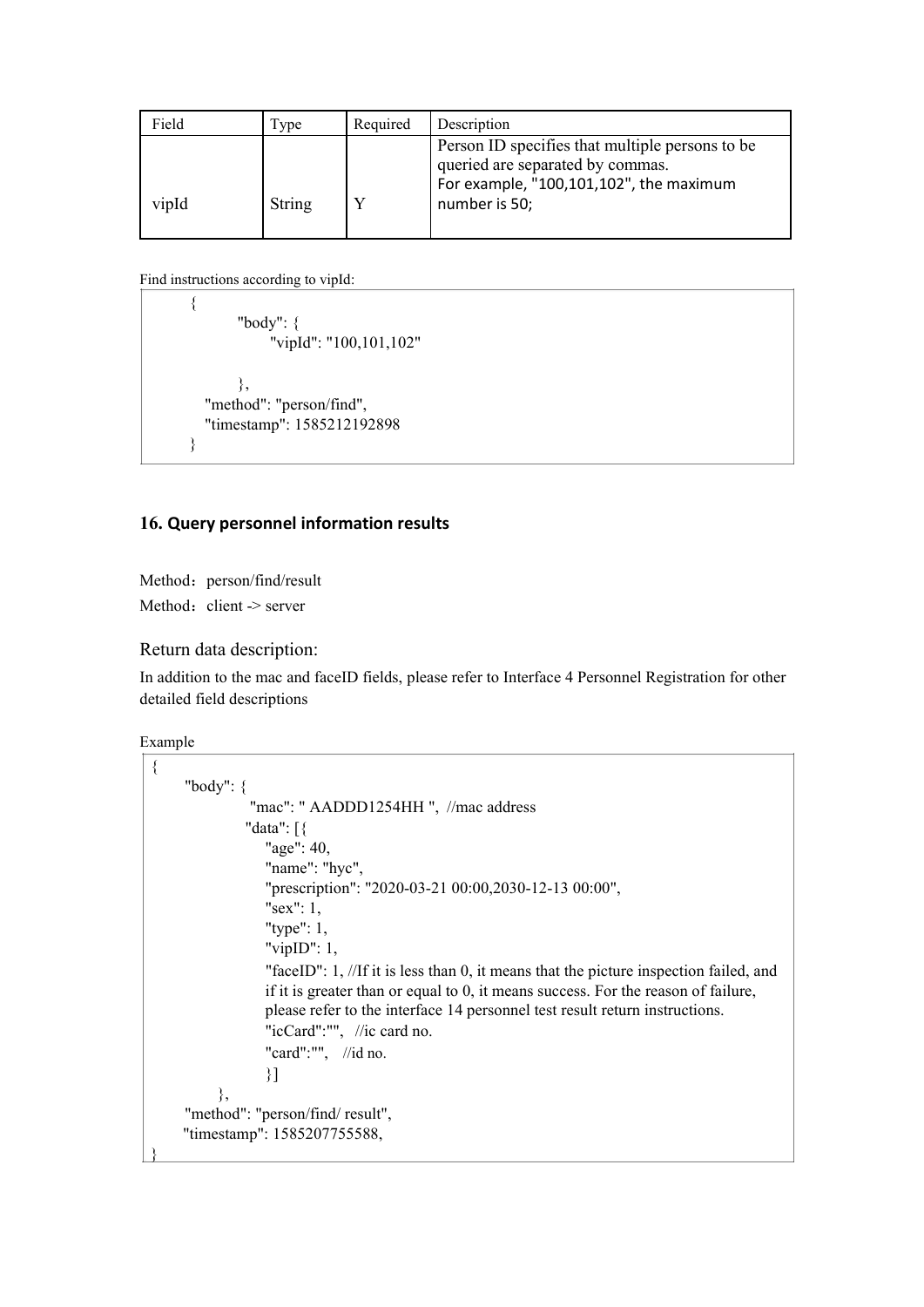| Field | <b>Type</b> | Required | Description                                                                                                                                     |
|-------|-------------|----------|-------------------------------------------------------------------------------------------------------------------------------------------------|
| vipId | String      |          | Person ID specifies that multiple persons to be<br>queried are separated by commas.<br>For example, "100,101,102", the maximum<br>number is 50; |

Find instructions according to vipId:

```
\{"body": {
       "vipId": "100,101,102" }, "method": "person/find", "timestamp": 1585212192898
}
```
### **16. Query personnelinformation results**

Method: person/find/result Method: client -> server

#### Return data description:

In addition to the mac and faceID fields, please refer to Interface 4 Personnel Registration for other detailed field descriptions

```
Example
```

```
\{"body": {
              "mac": " AADDD1254HH ", //mac address "data": [{
                "age": 40, "name": "hyc", "prescription": "2020-03-21 00:00,2030-12-13 00:00", "sex": 1, "type": 1, "vipID": 1, "faceID": 1, //If it is less than 0, it means that the picture inspection failed, and
                if it is greater than or equal to 0, it means success. For the reason of failure, please refer to the interface 14 personnel test result return instructions. "icCard":"", //ic card no. "card":"", //id no.
                }]
         }, "method": "person/find/ result", "timestamp": 1585207755588, }
```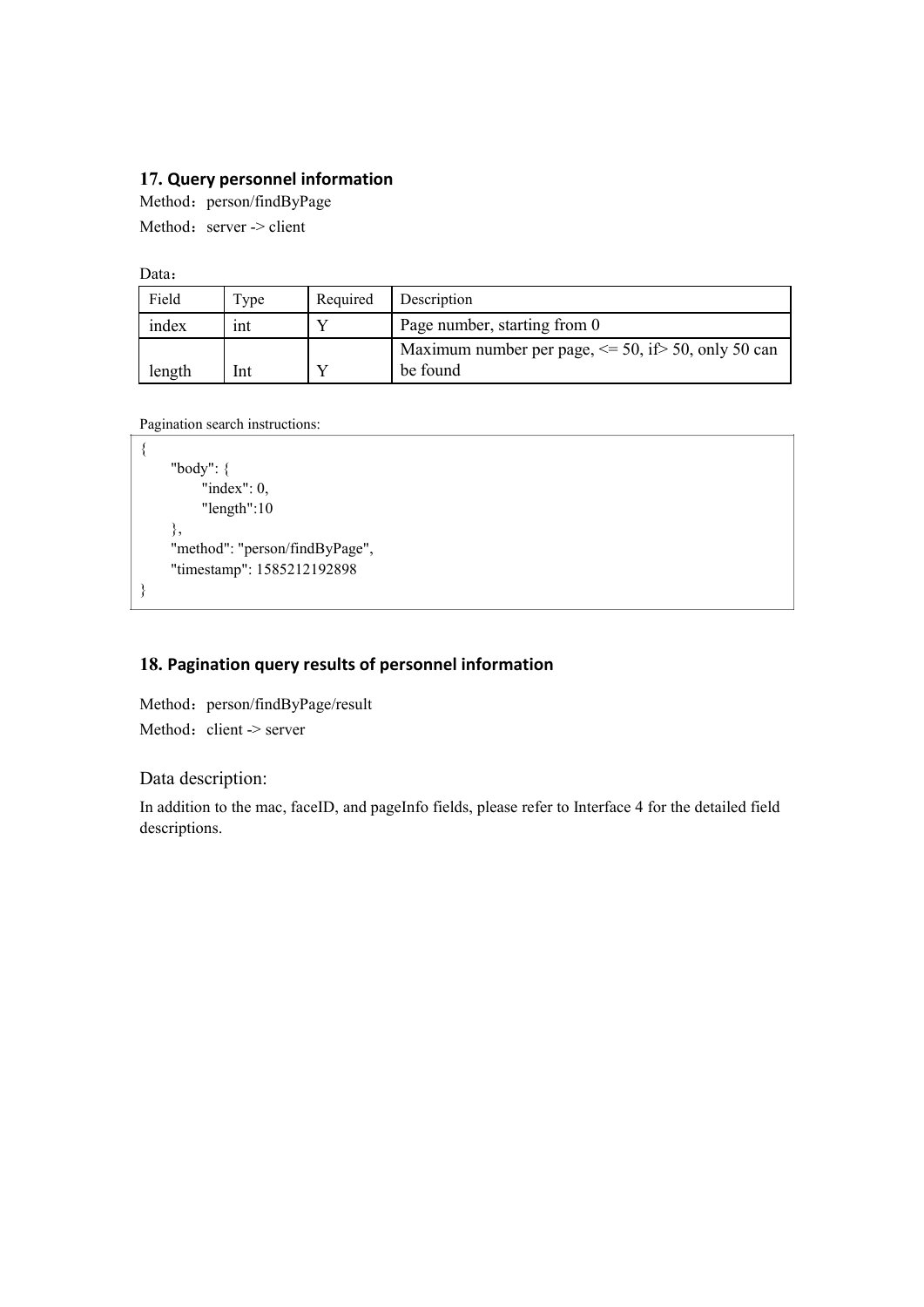### **17. Query personnelinformation**

Method: person/findByPage

Method: server -> client

Data: and the set of the set of the set of the set of the set of the set of the set of the set of the set of the set of the set of the set of the set of the set of the set of the set of the set of the set of the set of the

| Field  | Type | Required | Description                                                         |  |  |
|--------|------|----------|---------------------------------------------------------------------|--|--|
| index  | 1nt  |          | Page number, starting from 0                                        |  |  |
| length | Int  |          | Maximum number per page, $\le$ 50, if > 50, only 50 can<br>be found |  |  |

Pagination search instructions:

```
\{"body": {
      "index": 0,
      "length":10
  }, "method": "person/findByPage", "timestamp": 1585212192898
}
```
# **18. Pagination query results of personnel information**

Method: person/findByPage/result Method: client -> server

### Data description:

In addition to the mac, faceID, and pageInfo fields, please referto Interface 4 for the detailed field descriptions.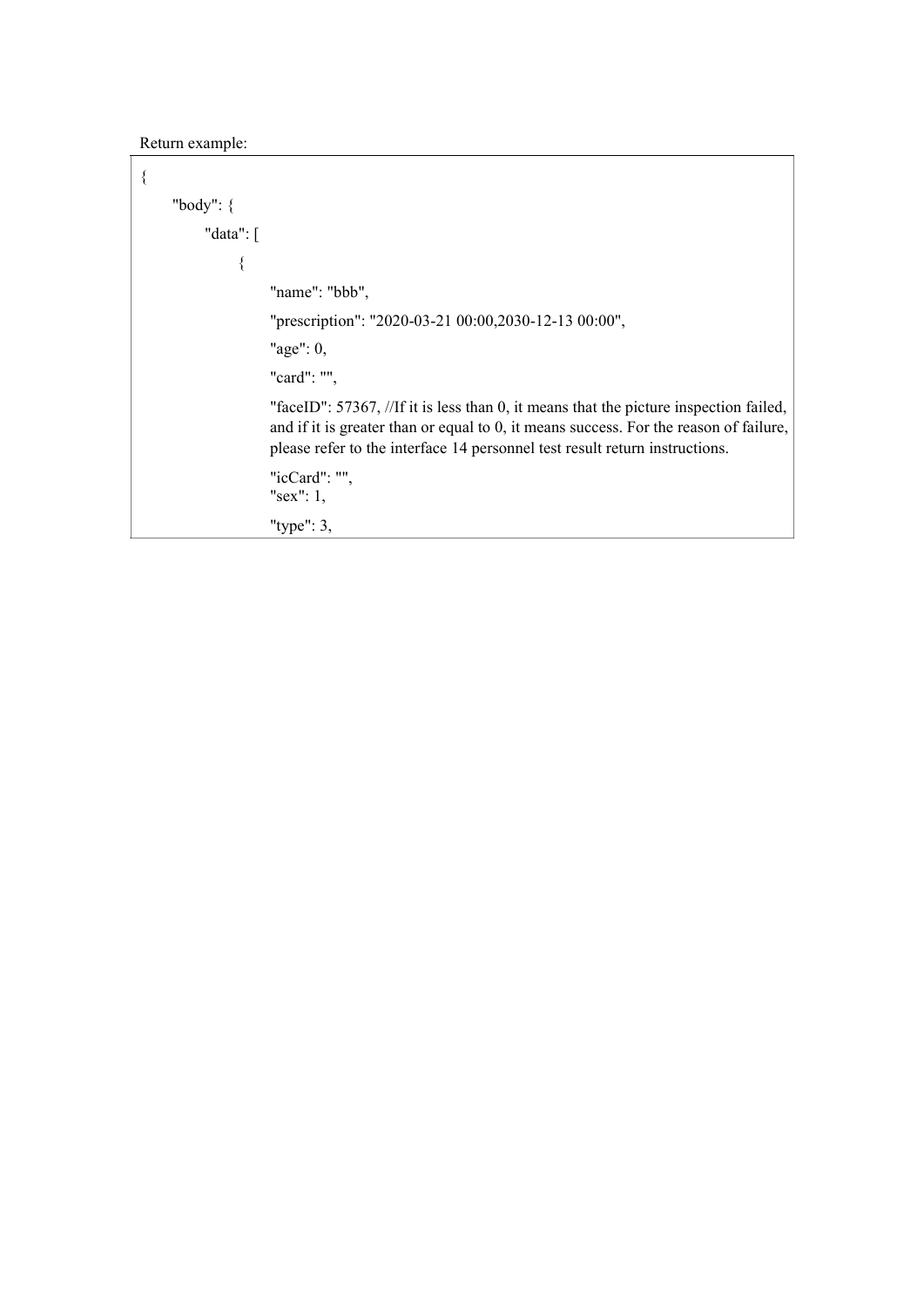Return example:

```
\{"body": {
        "data": [
              \{"name": "bbb", "prescription": "2020-03-21 00:00,2030-12-13 00:00", "age": 0, "card": "", "faceID": 57367, //If it is less than 0, it means that the picture inspection failed,
                  and if it is greater than or equal to 0, it means success. For the reason of failure, please refer to the interface 14 personnel test result return instructions. "icCard": "", "sex": 1, "type": 3,
```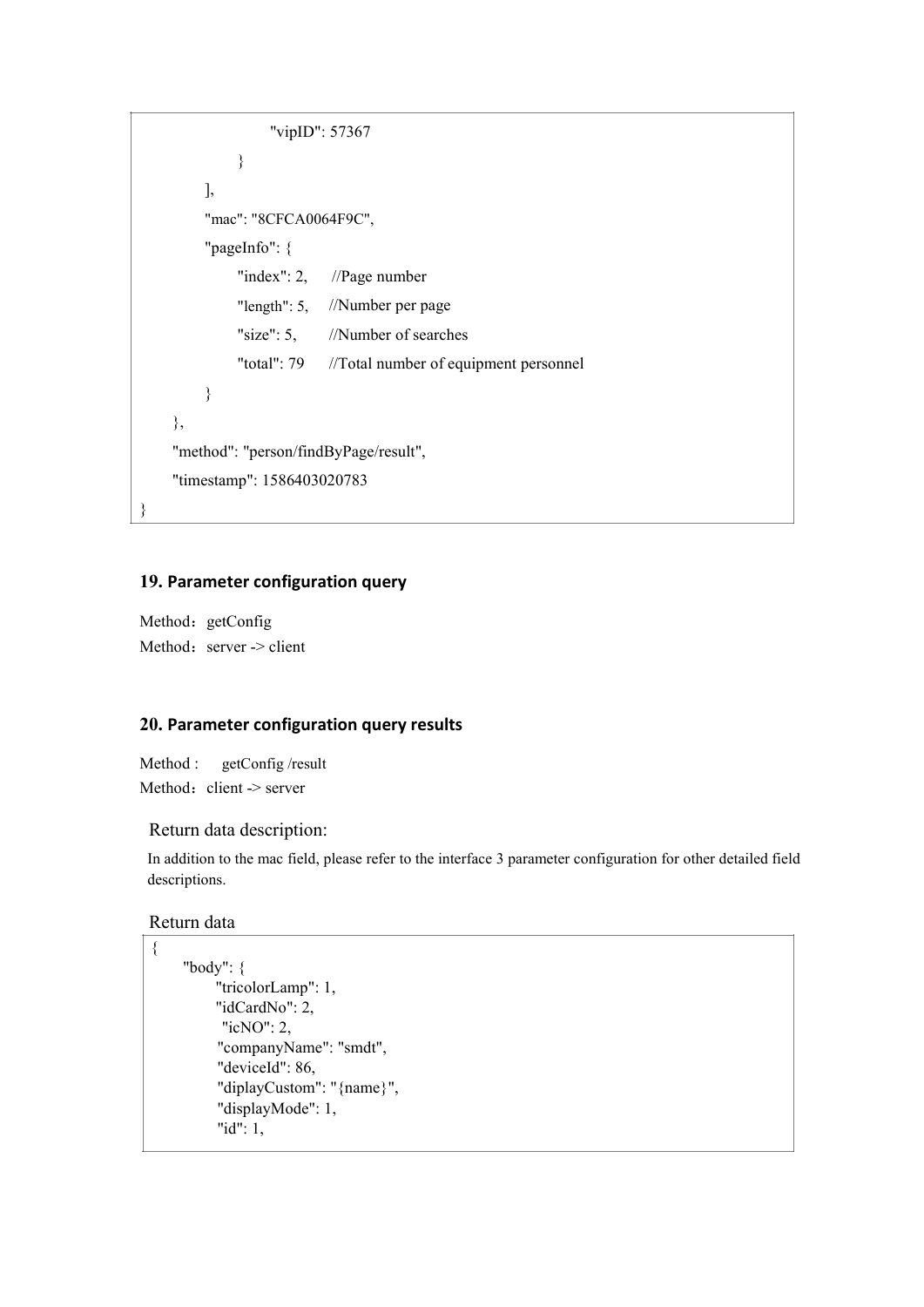```
"vipID": 57367
          }
      ],"mac": "8CFCA0064F9C", "pageInfo": {
          "index": 2,
          "length": 5, //Number per page
          "size": 5, "total": 79
//Total number of equipment personnel
                   //Page number
                   //Number of searches
      }
   }, "method": "person/findByPage/result", "timestamp": 1586403020783
}
```
### **19. Parameter configuration query**

Method: getConfig Method: server  $\rightarrow$  client

### **20. Parameter configuration query results**

Method : getConfig /result Method: client  $\rightarrow$  server

### Return data description:

In addition to the mac field, please refer to the interface 3 parameter configuration for other detailed field descriptions.

#### Return data

```
\{"body": {
       "tricolorLamp": 1, "idCardNo": 2, "icNO": 2, "companyName": "smdt", "deviceId": 86, "diplayCustom": "{name}", "displayMode": 1, "id": 1,
```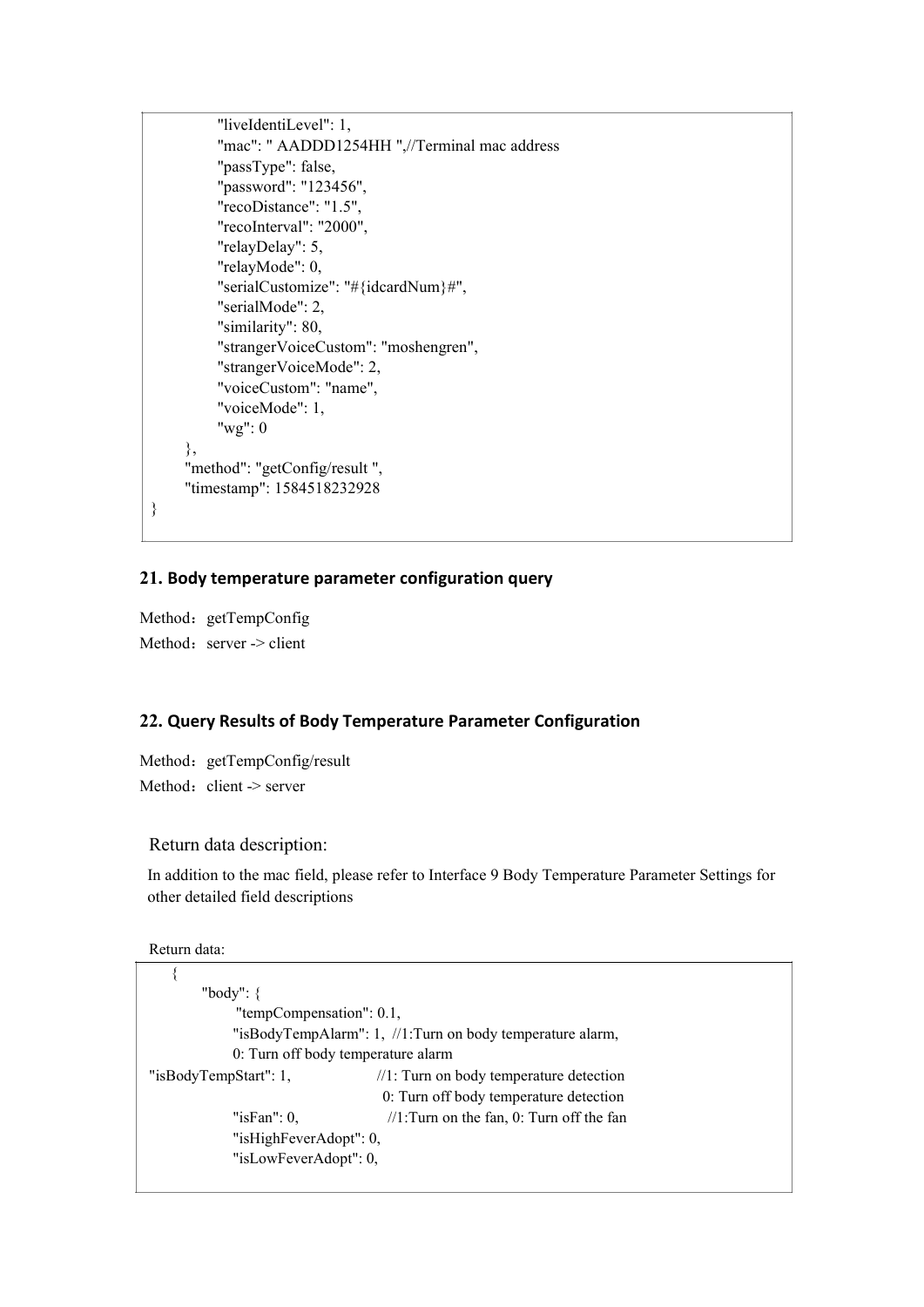"liveIdentiLevel": 1, "mac": " AADDD1254HH ",//Terminal mac address "passType": false, "password": "123456", "recoDistance": "1.5", "recoInterval": "2000", "relayDelay": 5, "relayMode": 0, "serialCustomize": "#{idcardNum}#", "serialMode": 2, "similarity": 80, "strangerVoiceCustom": "moshengren", "strangerVoiceMode": 2, "voiceCustom": "name", "voiceMode": 1, "wg": 0 }, "method": "getConfig/result ", "timestamp": 1584518232928 }

### **21. Body temperature parameter configuration query**

Method: getTempConfig Method: server  $\rightarrow$  client

### **22. Query Results of Body Temperature Parameter Configuration**

Method: getTempConfig/result Method: client  $\rightarrow$  server

### Return data description:

In addition to the mac field, please refer to Interface 9 Body Temperature Parameter Settings for other detailed field descriptions

```
Return data:
```

```
\{"body": {
           "tempCompensation": 0.1, "isBodyTempAlarm": 1, //1:Turn on body temperature alarm, 0: Turn off body temperature alarm
"isBodyTempStart": 1, //1: Turn on body temperature detection
                                0: Turn off body temperature detection
           "isFan": 0, \frac{1}{1}: Turn on the fan, 0: Turn off the fan
           "isHighFeverAdopt": 0, "isLowFeverAdopt": 0,
```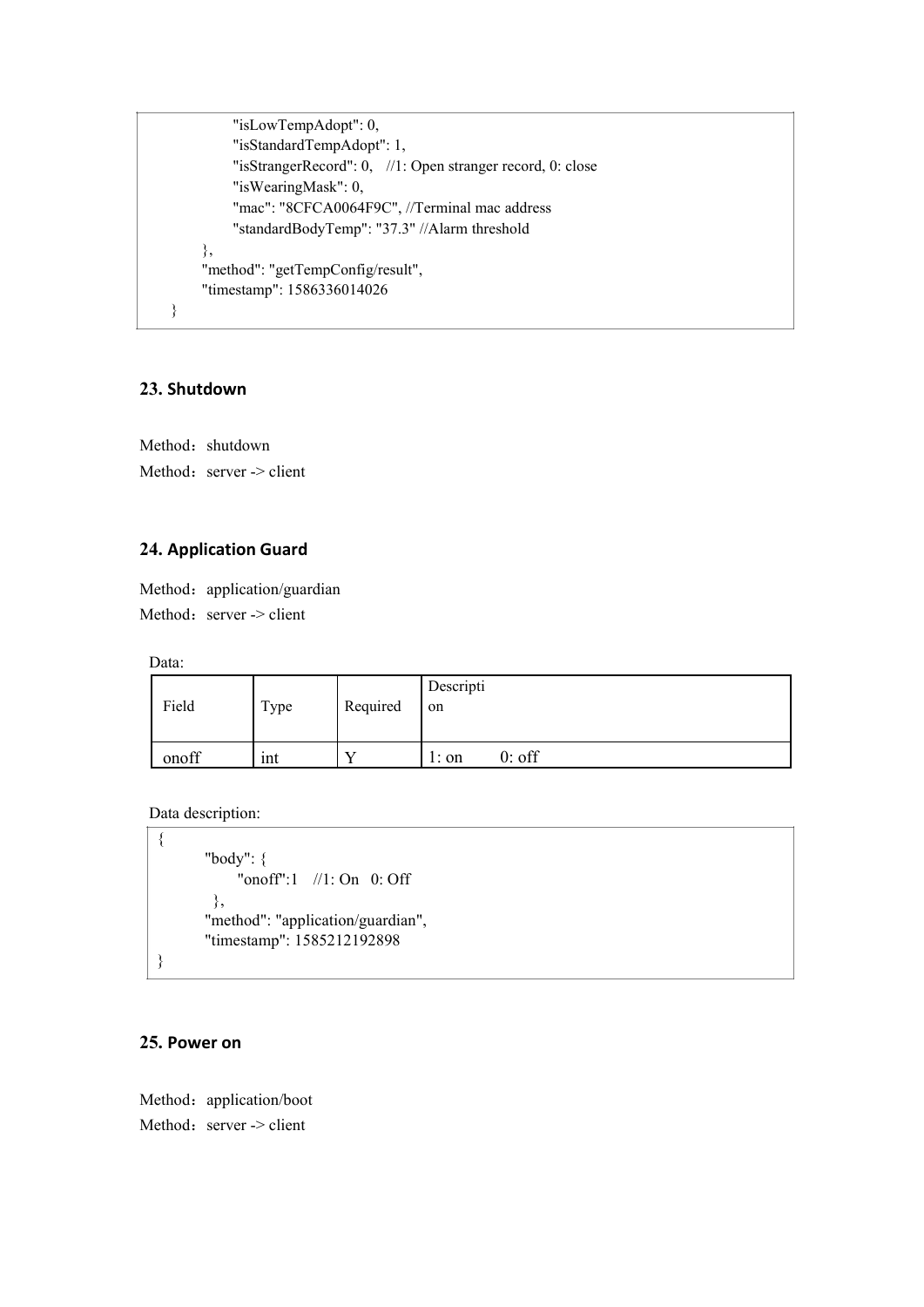```
"isLowTempAdopt": 0, "isStandardTempAdopt": 1, "isStrangerRecord": 0, //1: Open stranger record, 0: close
        "isWearingMask": 0, "mac": "8CFCA0064F9C", //Terminal mac address "standardBodyTemp": "37.3" //Alarm threshold
    }, "method": "getTempConfig/result", "timestamp": 1586336014026
}
```
### **23. Shutdown**

Method: shutdown Method: server  $\rightarrow$  client

### **24. Application Guard**

Method: application/guardian Method: server -> client

Data:

| Field | Type             | Required | Descripti<br>on   |
|-------|------------------|----------|-------------------|
| onoff | $\bullet$<br>int |          | $0:$ off<br>1: on |

Data description:

```
\{"body": {
        "onoff":1 //1: On 0: Off
     }, "method": "application/guardian", "timestamp": 1585212192898
}
```
### **25. Power on**

Method: application/boot Method: server -> client